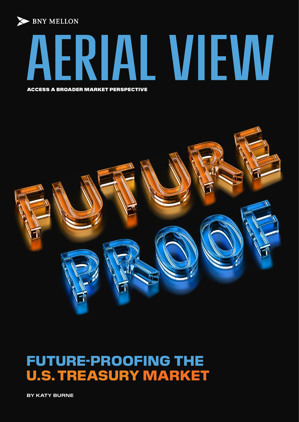



ACCESS A BROADER MARKET PERSPECTIVE



# FUTURE-PROOFING THE U.S. TREASURY MARKET

**BY KATY BURNE**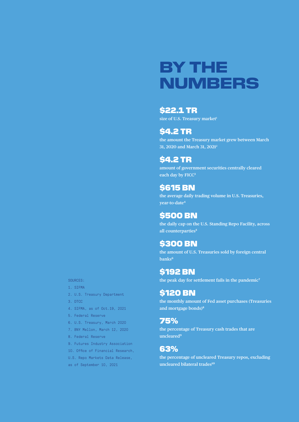# BY THE NUMBERS

## \$22.1 TR

size of U.S. Treasury market<sup>1</sup>

## \$4.2 TR

**the amount the Treasury market grew between March 31, 2020 and March 31, 20212**

## \$4.2 TR

**amount of government securities centrally cleared each day by FICC3**

## \$615 BN

**the average daily trading volume in U.S. Treasuries, year-to-date4**

## **\$500 BN**

**the daily cap on the U.S. Standing Repo Facility, across all counterparties5**

## \$300 BN

**the amount of U.S. Treasuries sold by foreign central banks6**

## \$192 BN

**the peak day for settlement fails in the pandemic7**

## \$120 BN

**the monthly amount of Fed asset purchases (Treasuries and mortgage bonds)8**

## 75%

**the percentage of Treasury cash trades that are uncleared9**

## 63%

**the percentage of uncleared Treasury repos, excluding uncleared bilateral trades10**

### SOURCES:

- 1. SIFMA
- 2. U.S. Treasury Department
- 3. DTCC
- 4. SIFMA, as of Oct.19, 2021
- 5. Federal Reserve
- 6. U.S. Treasury, March 2020
- 7. BNY Mellon, March 12, 2020
- 8. Federal Reserve
- 9. Futures Industry Association
- 10. Office of Financial Research,
- U.S. Repo Markets Data Release,
- as of September 10, 2021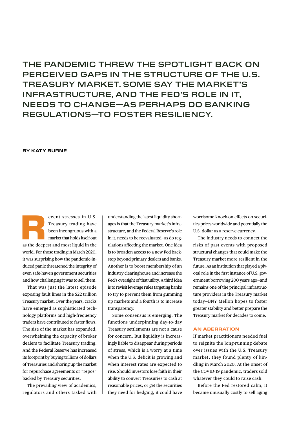THE PANDEMIC THREW THE SPOTLIGHT BACK ON PERCEIVED GAPS IN THE STRUCTURE OF THE U.S. TREASURY MARKET. SOME SAY THE MARKET'S INFRASTRUCTURE, AND THE FED'S ROLE IN IT, NEEDS TO CHANGE—AS PERHAPS DO BANKING REGULATIONS—TO FOSTER RESILIENCY.

### **BY KATY BURNE**

ecent stresses in U.S.<br>
Treasury trading have<br>
been incongruous with a<br>
market that holds itself out<br>
as the deepest and most liquid in the Treasury trading have been incongruous with a market that holds itself out world. For those trading in March 2020, it was surprising how the pandemic-induced panic threatened the integrity of even safe-haven government securities and how challenging it was to sell them.

That was just the latest episode exposing fault lines in the \$22 trillion Treasury market. Over the years, cracks have emerged as sophisticated technology platforms and high-frequency traders have contributed to faster flows. The size of the market has expanded, overwhelming the capacity of broker dealers to facilitate Treasury trading. And the Federal Reserve has increased its footprint by buying trillions of dollars of Treasuries and shoring up the market for repurchase agreements or "repos" backed by Treasury securities.

The prevailing view of academics, regulators and others tasked with understanding the latest liquidity shortages is that the Treasury market's infrastructure, and the Federal Reserve's role in it, needs to be reevaluated—as do regulations affecting the market. One idea is to broaden access to a new Fed backstop beyond primary dealers and banks. Another is to boost membership of an industry clearinghouse and increase the Fed's oversight of that utility. A third idea is to revisit leverage rules targeting banks to try to prevent them from gumming up markets and a fourth is to increase transparency.

Some consensus is emerging. The functions underpinning day-to-day Treasury settlements are not a cause for concern. But liquidity is increasingly liable to disappear during periods of stress, which is a worry at a time when the U.S. deficit is growing and when interest rates are expected to rise. Should investors lose faith in their ability to convert Treasuries to cash at reasonable prices, or get the securities they need for hedging, it could have

worrisome knock-on effects on securities prices worldwide and potentially the U.S. dollar as a reserve currency.

The industry needs to connect the risks of past events with proposed structural changes that could make the Treasury market more resilient in the future. As an institution that played a pivotal role in the first instance of U.S. government borrowing 200 years ago—and remains one of the principal infrastructure providers in the Treasury market today—BNY Mellon hopes to foster greater stability and better prepare the Treasury market for decades to come.

### **AN ABERRATION**

If market practitioners needed fuel to reignite the long-running debate over issues with the U.S. Treasury market, they found plenty of kindling in March 2020. At the onset of the COVID-19 pandemic, traders sold whatever they could to raise cash.

Before the Fed restored calm, it became unusually costly to sell aging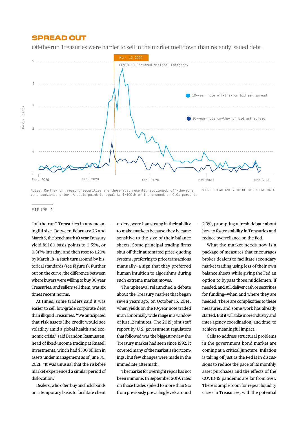## SPREAD OUT

Off-the-run Treasuries were harder to sell in the market meltdown than recently issued debt.



SOURCE: GAO ANALYSIS OF BLOOMBERG DATA Notes: On-the-run Treasury securities are those most recently auctioned. Off-the-runs were auctioned prior. A basis point is equal to 1/100th of the precent or 0.01 percent.

### FIGURE 1

"off-the-run" Treasuries in any meaningful size. Between February 26 and March 9, the benchmark 10-year Treasury yield fell 80 basis points to 0.55%, or 0.317% intraday, and then rose to 1.20% by March 18—a stark turnaround by historical standards (see Figure 1). Further out on the curve, the difference between where buyers were willing to buy 30-year Treasuries, and sellers sell them, was six times recent norms.

At times, some traders said it was easier to sell low-grade corporate debt than illiquid Treasuries. "We anticipated that risk assets like credit would see volatility amid a global health and economic crisis," said Brandon Rasmussen, head of fixed-income trading at Russell Investments, which had \$330 billion in assets under management as of June 30, 2021. "It was unusual that the risk-free market experienced a similar period of dislocation."

Dealers, who often buy and hold bonds on a temporary basis to facilitate client orders, were hamstrung in their ability to make markets because they became sensitive to the size of their balance sheets. Some principal trading firms shut off their automated price-quoting systems, preferring to price transactions manually—a sign that they preferred human intuition to algorithms during such extreme market moves.

The upheaval relaunched a debate about the Treasury market that began seven years ago, on October 15, 2014, when yields on the 10-year note traded in an abnormally wide range in a window of just 12 minutes. The 2015 joint staff report by U.S. government regulators that followed was the biggest review the Treasury market had seen since 1992. It covered many of the market's shortcomings, but few changes were made in the immediate aftermath.

The market for overnight repos has not been immune. In September 2019, rates on those trades spiked to more than 9% from previously prevailing levels around

2.3%, prompting a fresh debate about how to foster stability in Treasuries and reduce overreliance on the Fed.

What the market needs now is a package of measures that encourages broker dealers to facilitate secondary market trading using less of their own balance sheets while giving the Fed an option to bypass those middlemen, if needed, and still deliver cash or securities for funding—when and where they are needed. There are complexities to these measures, and some work has already started. But it will take more industry and inter-agency coordination, and time, to achieve meaningful impact.

Calls to address structural problems in the government bond market are coming at a critical juncture. Inflation is taking off just as the Fed is in discussions to reduce the pace of its monthly asset purchases and the effects of the COVID-19 pandemic are far from over. There is ample room for repeat liquidity crises in Treasuries, with the potential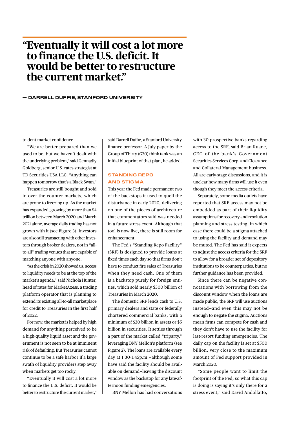## **"Eventually it will cost a lot more to finance the U.S. deficit. It would be better to restructure the current market."**

### **— DARRELL DUFFIE, STANFORD UNIVERSITY**

to dent market confidence.

"We are better prepared than we used to be, but we haven't dealt with the underlying problem," said Gennadiy Goldberg, senior U.S. rates strategist at TD Securities USA LLC. "Anything can happen tomorrow that's a Black Swan."

Treasuries are still bought and sold in over-the-counter markets, which are prone to freezing up. As the market has expanded, growing by more than \$4 trillion between March 2020 and March 2021 alone, average daily trading has not grown with it (see Figure 3). Investors are also still transacting with other investors through broker dealers, not in "allto-all" trading venues that are capable of matching anyone with anyone.

"As the crisis in 2020 showed us, access to liquidity needs to be at the top of the market's agenda," said Nichola Hunter, head of rates for MarketAxess, a trading platform operator that is planning to extend its existing all-to-all marketplace for credit to Treasuries in the first half of 2022.

For now, the market is helped by high demand for anything perceived to be a high-quality liquid asset and the government is not seen to be at imminent risk of defaulting. But Treasuries cannot continue to be a safe harbor if a large swath of liquidity providers step away when markets get too rocky.

"Eventually it will cost a lot more to finance the U.S. deficit. It would be better to restructure the current market,"

said Darrell Duffie, a Stanford University finance professor. A July paper by the Group of Thirty (G30) think tank was an initial blueprint of that plan, he added.

### **STANDING REPO AND STIGMA**

This year the Fed made permanent two of the backstops it used to quell the disturbance in early 2020, delivering on one of the pieces of architecture that commentators said was needed in a future stress event. Although that tool is now live, there is still room for enhancement.

The Fed's "Standing Repo Facility" (SRF) is designed to provide loans at fixed times each day so that firms don't have to conduct fire sales of Treasuries when they need cash. One of them is a backstop purely for foreign entities, which sold nearly \$300 billion of Treasuries in March 2020.

The domestic SRF lends cash to U.S. primary dealers and state or federally chartered commercial banks, with a minimum of \$30 billion in assets or \$5 billion in securities. It settles through a part of the market called "triparty," leveraging BNY Mellon's platform (see Figure 2). The loans are available every day at 1.30-1.45p.m.—although some have said the facility should be available on demand—leaving the discount window as the backstop for any late-afternoon funding emergencies.

BNY Mellon has had conversations

with 30 prospective banks regarding access to the SRF, said Brian Ruane, CEO of the bank's Government Securities Services Corp. and Clearance and Collateral Management business. All are early-stage discussions, and it is unclear how many firms will use it even though they meet the access criteria.

Separately, some media outlets have reported that SRF access may not be embedded as part of their liquidity assumptions for recovery and resolution planning and stress testing, in which case there could be a stigma attached to using the facility and demand may be muted. The Fed has said it expects to adjust the access criteria for the SRF to allow for a broader set of depository institutions to be counterparties, but no further guidance has been provided.

Since there can be negative connotations with borrowing from the discount window when the loans are made public, the SRF will use auctions instead—and even this may not be enough to negate the stigma. Auctions mean firms can compete for cash and they don't have to use the facility for last-resort funding emergencies. The daily cap on the facility is set at \$500 billion, very close to the maximum amount of Fed support provided in March 2020.

"Some people want to limit the footprint of the Fed, so what this cap is doing is saying it's only there for a stress event," said David Andolfatto,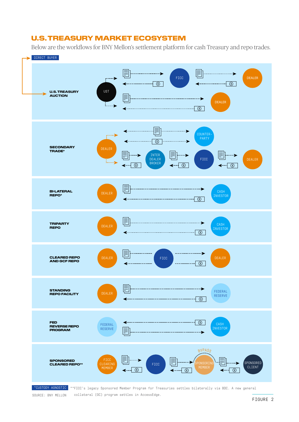## U.S. TREASURY MARKET ECOSYSTEM

Below are the workflows for BNY Mellon's settlement platform for cash Treasury and repo trades.





collateral (GC) program settles in AccessEdge.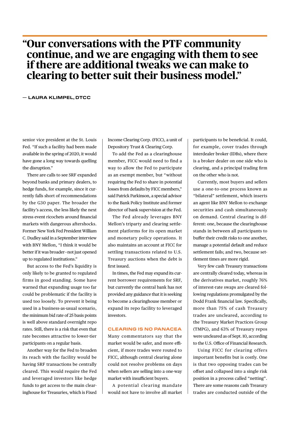## **"Our conversations with the PTF community continue, and we are engaging with them to see if there are additional tweaks we can make to clearing to better suit their business model."**

### **— LAURA KLIMPEL, DTCC**

senior vice president at the St. Louis Fed. "If such a facility had been made available in the spring of 2020, it would have gone a long way towards quelling the disruption."

There are calls to see SRF expanded beyond banks and primary dealers, to hedge funds, for example, since it currently falls short of recommendations by the G30 paper. The broader the facility's access, the less likely the next stress event ricochets around financial markets with dangerous aftershocks. Former New York Fed President William C. Dudley said in a September interview with BNY Mellon, "I think it would be better if it was broader—not just opened up to regulated institutions."

But access to the Fed's liquidity is only likely to be granted to regulated firms in good standing. Some have warned that expanding usage too far could be problematic if the facility is used too loosely. To prevent it being used in a business-as-usual scenario, the minimum bid rate of 25 basis points is well above standard overnight repo rates. Still, there is a risk that even that rate becomes attractive to lower-tier participants on a regular basis.

Another way for the Fed to broaden its reach with the facility would be having SRF transactions be centrally cleared. This would require the Fed and leveraged investors like hedge funds to get access to the main clearinghouse for Treasuries, which is Fixed

Income Clearing Corp. (FICC), a unit of Depository Trust & Clearing Corp.

To add the Fed as a clearinghouse member, FICC would need to find a way to allow the Fed to participate as an exempt member, but "without requiring the Fed to share in potential losses from defaults by FICC members," said Patrick Parkinson, a special advisor to the Bank Policy Institute and former director of bank supervision at the Fed.

The Fed already leverages BNY Mellon's triparty and clearing settlement platforms for its open market and monetary policy operations. It also maintains an account at FICC for settling transactions related to U.S. Treasury auctions when the debt is first issued.

In times, the Fed may expand its current borrower requirements for SRF, but currently the central bank has not provided any guidance that it is seeking to become a clearinghouse member or expand its repo facility to leveraged investors.

### **CLEARING IS NO PANACEA**

Many commentators say that the market would be safer, and more efficient, if more trades were routed to FICC, although central clearing alone could not resolve problems on days when sellers are selling into a one-way market with insufficient buyers.

A potential clearing mandate would not have to involve all market

participants to be beneficial. It could, for example, cover trades through interdealer broker (IDBs), where there is a broker dealer on one side who is clearing, and a principal trading firm on the other who is not.

Currently, most buyers and sellers use a one-to-one process known as "bilateral" settlement, which inserts an agent like BNY Mellon to exchange securities and cash simultaneously on demand. Central clearing is different: one, because the clearinghouse stands in between all participants to buffer their credit risks to one another, manage a potential default and reduce settlement fails; and two, because settlement times are more rigid.

Very few cash Treasury transactions are centrally cleared today, whereas in the derivatives market, roughly 76% of interest-rate swaps are cleared following regulations promulgated by the Dodd Frank financial law. Specifically, more than 75% of cash Treasury trades are uncleared, according to the Treasury Market Practices Group (TMPG), and 63% of Treasury repos were uncleared as of Sept. 10, according to the U.S. Office of Financial Research.

Using FICC for clearing offers important benefits but is costly. One is that two opposing trades can be offset and collapsed into a single risk position in a process called "netting". There are some reasons cash Treasury trades are conducted outside of the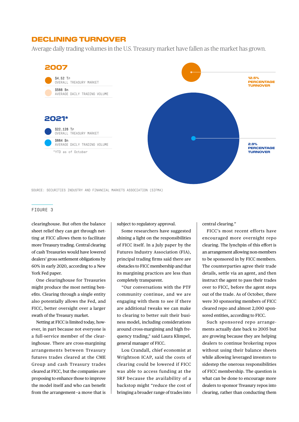## DECLINING TURNOVER

Average daily trading volumes in the U.S. Treasury market have fallen as the market has grown.



### SOURCE: SECURITIES INDUSTRY AND FINANCIAL MARKETS ASSOCIATION (SIFMA)

#### FIGURE 3

clearinghouse. But often the balance sheet relief they can get through netting at FICC allows them to facilitate more Treasury trading. Central clearing of cash Treasuries would have lowered dealers' gross settlement obligations by 60% in early 2020, according to a New York Fed paper.

One clearinghouse for Treasuries might produce the most netting benefits. Clearing through a single entity also potentially allows the Fed, and FICC, better oversight over a larger swath of the Treasury market.

Netting at FICC is limited today, however, in part because not everyone is a full-service member of the clearinghouse. There are cross-margining arrangements between Treasury futures trades cleared at the CME Group and cash Treasury trades cleared at FICC, but the companies are proposing to enhance those to improve the model itself and who can benefit from the arrangement—a move that is

subject to regulatory approval.

Some researchers have suggested shining a light on the responsibilities of FICC itself. In a July paper by the Futures Industry Association (FIA), principal trading firms said there are obstacles to FICC membership and that its margining practices are less than completely transparent.

"Our conversations with the PTF community continue, and we are engaging with them to see if there are additional tweaks we can make to clearing to better suit their business model, including considerations around cross-margining and high frequency trading," said Laura Klimpel, general manager of FICC.

Lou Crandall, chief economist at Wrightson ICAP, said the costs of clearing could be lowered if FICC was able to access funding at the SRF because the availability of a backstop might "reduce the cost of bringing a broader range of trades into

central clearing."

FICC's most recent efforts have encouraged more overnight repo clearing. The lynchpin of this effort is an arrangement allowing non-members to be sponsored in by FICC members. The counterparties agree their trade details, settle via an agent, and then instruct the agent to pass their trades over to FICC, before the agent steps out of the trade. As of October, there were 30 sponsoring members of FICC cleared repo and almost 2,000 sponsored entities, according to FICC.

Such sponsored repo arrangements actually date back to 2005 but are growing because they are helping dealers to continue brokering repos without using their balance sheets while allowing leveraged investors to sidestep the onerous responsibilities of FICC membership. The question is what can be done to encourage more dealers to sponsor Treasury repos into clearing, rather than conducting them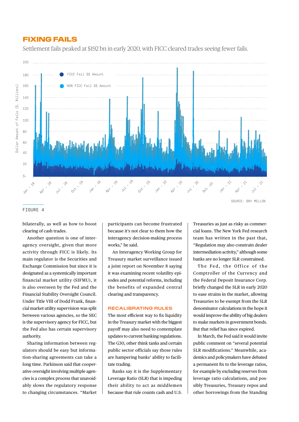### FIXING FAILS

Settlement fails peaked at \$192 bn in early 2020, with FICC cleared trades seeing fewer fails.



### FIGURE 4

bilaterally, as well as how to boost clearing of cash trades.

Another question is one of interagency oversight, given that more activity through FICC is likely. Its main regulator is the Securities and Exchange Commission but since it is designated as a systemically important financial market utility (SIFMU), it is also overseen by the Fed and the Financial Stability Oversight Council. Under Title VIII of Dodd Frank, financial market utility supervision was split between various agencies, so the SEC is the supervisory agency for FICC, but the Fed also has certain supervisory authority.

Sharing information between regulators should be easy but information-sharing agreements can take a long time. Parkinson said that cooperative oversight involving multiple agencies is a complex process that unavoidably slows the regulatory response to changing circumstances. "Market

participants can become frustrated because it's not clear to them how the interagency decision-making process works," he said.

An Interagency Working Group for Treasury market surveillance issued a joint report on November 8 saying it was examining recent volatility episodes and potential reforms, including the benefits of expanded central clearing and transparency.

### **RECALIBRATING RULES**

The most efficient way to fix liquidity in the Treasury market with the biggest payoff may also need to contemplate updates to current banking regulations. The G30, other think tanks and certain public sector officials say those rules are hampering banks' ability to facilitate trading.

Banks say it is the Supplementary Leverage Ratio (SLR) that is impeding their ability to act as middlemen because that rule counts cash and U.S.

Treasuries as just as risky as commercial loans. The New York Fed research team has written in the past that, "Regulation may also constrain dealer intermediation activity," although some banks are no longer SLR constrained.

The Fed, the Office of the Comptroller of the Currency and the Federal Deposit Insurance Corp. briefly changed the SLR in early 2020 to ease strains in the market, allowing Treasuries to be exempt from the SLR denominator calculations in the hope it would improve the ability of big dealers to make markets in government bonds. But that relief has since expired.

In March, the Fed said it would invite public comment on "several potential SLR modifications." Meanwhile, academics and policymakers have debated a permanent fix to the leverage ratios, for example by excluding reserves from leverage ratio calculations, and possibly Treasuries, Treasury repos and other borrowings from the Standing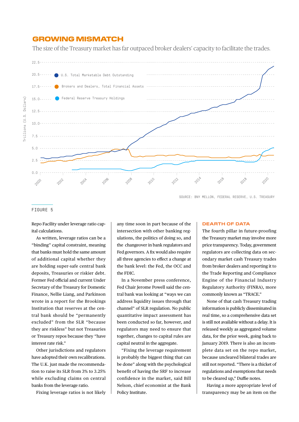### GROWING MISMATCH

The size of the Treasury market has far outpaced broker dealers' capacity to facilitate the trades.



SOURCE: BNY MELLON, FEDERAL RESERVE, U.S. TREASURY

#### FIGURE 5

Repo Facility under leverage ratio capital calculations.

As written, leverage ratios can be a "binding" capital constraint, meaning that banks must hold the same amount of additional capital whether they are holding super-safe central bank deposits, Treasuries or riskier debt. Former Fed official and current Under Secretary of the Treasury for Domestic Finance, Nellie Liang, and Parkinson wrote in a report for the Brookings Institution that reserves at the central bank should be "permanently excluded" from the SLR "because they are riskless" but not Treasuries or Treasury repos because they "have interest rate risk."

Other jurisdictions and regulators have adopted their own recalibrations. The U.K. just made the recommendation to raise its SLR from 3% to 3.25% while excluding claims on central banks from the leverage ratio.

Fixing leverage ratios is not likely

any time soon in part because of the intersection with other banking regulations, the politics of doing so, and the changeover in bank regulators and Fed governors. A fix would also require all three agencies to effect a change at the bank level: the Fed, the OCC and the FDIC.

In a November press conference, Fed Chair Jerome Powell said the central bank was looking at "ways we can address liquidity issues through that channel" of SLR regulation. No public quantitative impact assessment has been conducted so far, however, and regulators may need to ensure that together, changes to capital rules are capital neutral in the aggregate.

"Fixing the leverage requirement is probably the biggest thing that can be done" along with the psychological benefit of having the SRF to increase confidence in the market, said Bill Nelson, chief economist at the Bank Policy Institute.

### **DEARTH OF DATA**

The fourth pillar in future-proofing the Treasury market may involve more price transparency. Today, government regulators are collecting data on secondary market cash Treasury trades from broker dealers and reporting it to the Trade Reporting and Compliance Engine of the Financial Industry Regulatory Authority (FINRA), more commonly known as "TRACE."

None of that cash Treasury trading information is publicly disseminated in real time, so a comprehensive data set is still not available without a delay. It is released weekly as aggregated volume data, for the prior week, going back to January 2019. There is also an incomplete data set on the repo market, because uncleared bilateral trades are still not reported. "There is a thicket of regulations and exemptions that needs to be cleared up," Duffie notes.

Having a more appropriate level of transparency may be an item on the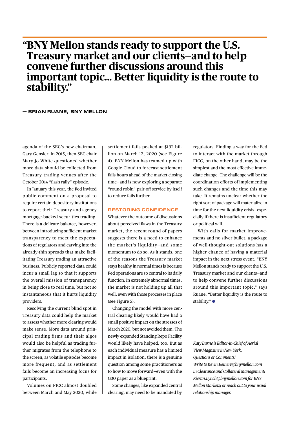## **"BNY Mellon stands ready to support the U.S. Treasury market and our clients—and to help convene further discussions around this important topic... Better liquidity is the route to stability."**

### **— BRIAN RUANE, BNY MELLON**

agenda of the SEC's new chairman, Gary Gensler. In 2015, then-SEC chair Mary Jo White questioned whether more data should be collected from Treasury trading venues after the October 2014 "flash rally" episode.

In January this year, the Fed invited public comment on a proposal to require certain depository institutions to report their Treasury and agency mortgage-backed securities trading. There is a delicate balance, however, between introducing sufficient market transparency to meet the expectations of regulators and carving into the already-thin spreads that make facilitating Treasury trading an attractive business. Publicly reported data could incur a small lag so that it supports the overall mission of transparency in being close to real time, but not so instantaneous that it hurts liquidity providers.

Resolving the current blind spot in Treasury data could help the market to assess whether more clearing would make sense. More data around principal trading firms and their algos would also be helpful as trading further migrates from the telephone to the screen; as volatile episodes become more frequent; and as settlement fails become an increasing focus for participants.

Volumes on FICC almost doubled between March and May 2020, while

settlement fails peaked at \$192 billion on March 12, 2020 (see Figure 4). BNY Mellon has teamed up with Google Cloud to forecast settlement fails hours ahead of the market closing time—and is now exploring a separate "round robin" pair-off service by itself to reduce fails further.

### **RESTORING CONFIDENCE**

Whatever the outcome of discussions about perceived flaws in the Treasury market, the recent round of papers suggests there is a need to enhance the market's liquidity—and some momentum to do so. As it stands, one of the reasons the Treasury market stays healthy in normal times is because Fed operations are so central to its daily function. In extremely abnormal times, the market is not holding up all that well, even with those processes in place (see Figure 5).

Changing the model with more central clearing likely would have had a small positive impact on the stresses of March 2020, but not avoided them. The newly expanded Standing Repo Facility would likely have helped, too. But as each individual measure has a limited impact in isolation, there is a genuine question among some practitioners as to how to move forward—even with the G30 paper as a blueprint.

Some changes, like expanded central clearing, may need to be mandated by regulators. Finding a way for the Fed to interact with the market through FICC, on the other hand, may be the simplest and the most effective immediate change. The challenge will be the coordination efforts of implementing such changes and the time this may take. It remains unclear whether the right sort of package will materialize in time for the next liquidity crisis—especially if there is insufficient regulatory or political will.

With calls for market improvements and no silver bullet, a package of well-thought-out solutions has a higher chance of having a material impact in the next stress event. "BNY Mellon stands ready to support the U.S. Treasury market and our clients—and to help convene further discussions around this important topic," says Ruane. "Better liquidity is the route to stability." ●

*Katy Burne is Editor-in-Chief of Aerial View Magazine in New York. Questions or Comments? Write to Kevin.Reinert@bnymellon.com in Clearance and Collateral Management; Kieran.Lynch@bnymellon.com for BNY Mellon Markets; or reach out to your usual relationship manager.*